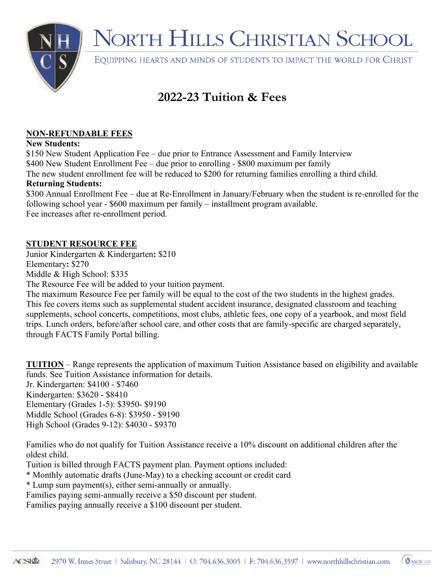

## NORTH HILLS CHRISTIAN SCHOOL

EQUIPPING HEARTS AND MINDS OF STUDENTS TO IMPACT THE WORLD FOR CHRIST

### **2022-23 Tuition & Fees**

#### **NON-REFUNDABLE FEES**

#### **New Students:**

\$150 New Student Application Fee – due prior to Entrance Assessment and Family Interview \$400 New Student Enrollment Fee – due prior to enrolling - \$800 maximum per family The new student enrollment fee will be reduced to \$200 for returning families enrolling a third child.

#### **Returning Students:**

\$300 Annual Enrollment Fee – due at Re-Enrollment in January/February when the student is re-enrolled for the following school year - \$600 maximum per family – installment program available. Fee increases after re-enrollment period.

#### **STUDENT RESOURCE FEE**

Junior Kindergarten & Kindergarten**:** \$210 Elementary**:** \$270

Middle & High School: \$335

The Resource Fee will be added to your tuition payment.

The maximum Resource Fee per family will be equal to the cost of the two students in the highest grades. This fee covers items such as supplemental student accident insurance, designated classroom and teaching supplements, school concerts, competitions, most clubs, athletic fees, one copy of a yearbook, and most field trips. Lunch orders, before/after school care, and other costs that are family-specific are charged separately, through FACTS Family Portal billing.

**TUITION** – Range represents the application of maximum Tuition Assistance based on eligibility and available funds. See Tuition Assistance information for details. Jr. Kindergarten: \$4100 - \$7460 Kindergarten: \$3620 - \$8410 Elementary (Grades 1-5): \$3950- \$9190 Middle School (Grades 6-8): \$3950 - \$9190

High School (Grades 9-12): \$4030 - \$9370

Families who do not qualify for Tuition Assistance receive a 10% discount on additional children after the oldest child.

Tuition is billed through FACTS payment plan. Payment options included:

\* Monthly automatic drafts (June-May) to a checking account or credit card

\* Lump sum payment(s), either semi-annually or annually.

Families paying semi-annually receive a \$50 discount per student.

Families paying annually receive a \$100 discount per student.